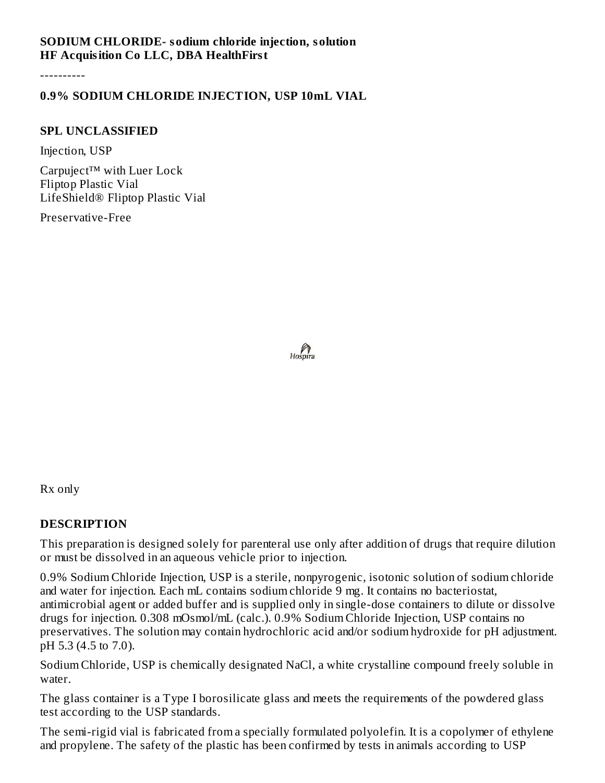#### **SODIUM CHLORIDE- sodium chloride injection, solution HF Acquisition Co LLC, DBA HealthFirst**

----------

## **0.9% SODIUM CHLORIDE INJECTION, USP 10mL VIAL**

#### **SPL UNCLASSIFIED**

Injection, USP

Carpuject™ with Luer Lock Fliptop Plastic Vial LifeShield® Fliptop Plastic Vial

Preservative-Free

 $h_{\text{obs,}p}$ 

Rx only

#### **DESCRIPTION**

This preparation is designed solely for parenteral use only after addition of drugs that require dilution or must be dissolved in an aqueous vehicle prior to injection.

0.9% Sodium Chloride Injection, USP is a sterile, nonpyrogenic, isotonic solution of sodium chloride and water for injection. Each mL contains sodium chloride 9 mg. It contains no bacteriostat, antimicrobial agent or added buffer and is supplied only in single-dose containers to dilute or dissolve drugs for injection. 0.308 mOsmol/mL (calc.). 0.9% Sodium Chloride Injection, USP contains no preservatives. The solution may contain hydrochloric acid and/or sodium hydroxide for pH adjustment. pH 5.3 (4.5 to 7.0).

Sodium Chloride, USP is chemically designated NaCl, a white crystalline compound freely soluble in water.

The glass container is a Type I borosilicate glass and meets the requirements of the powdered glass test according to the USP standards.

The semi-rigid vial is fabricated from a specially formulated polyolefin. It is a copolymer of ethylene and propylene. The safety of the plastic has been confirmed by tests in animals according to USP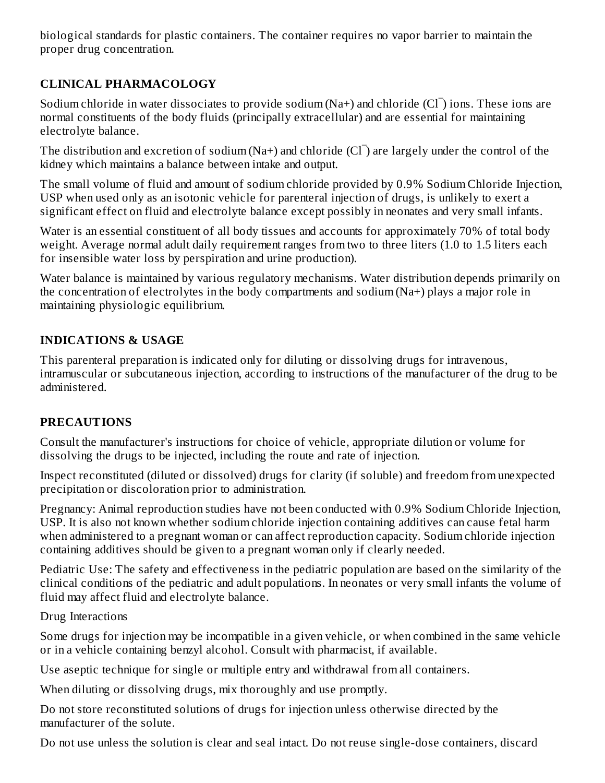biological standards for plastic containers. The container requires no vapor barrier to maintain the proper drug concentration.

# **CLINICAL PHARMACOLOGY**

Sodium chloride in water dissociates to provide sodium (Na+) and chloride  $(Cl<sup>-</sup>)$  ions. These ions are normal constituents of the body fluids (principally extracellular) and are essential for maintaining electrolyte balance.

The distribution and excretion of sodium (Na+) and chloride  $(Cl<sup>-</sup>)$  are largely under the control of the kidney which maintains a balance between intake and output.

The small volume of fluid and amount of sodium chloride provided by 0.9% Sodium Chloride Injection, USP when used only as an isotonic vehicle for parenteral injection of drugs, is unlikely to exert a significant effect on fluid and electrolyte balance except possibly in neonates and very small infants.

Water is an essential constituent of all body tissues and accounts for approximately 70% of total body weight. Average normal adult daily requirement ranges from two to three liters (1.0 to 1.5 liters each for insensible water loss by perspiration and urine production).

Water balance is maintained by various regulatory mechanisms. Water distribution depends primarily on the concentration of electrolytes in the body compartments and sodium (Na+) plays a major role in maintaining physiologic equilibrium.

## **INDICATIONS & USAGE**

This parenteral preparation is indicated only for diluting or dissolving drugs for intravenous, intramuscular or subcutaneous injection, according to instructions of the manufacturer of the drug to be administered.

## **PRECAUTIONS**

Consult the manufacturer's instructions for choice of vehicle, appropriate dilution or volume for dissolving the drugs to be injected, including the route and rate of injection.

Inspect reconstituted (diluted or dissolved) drugs for clarity (if soluble) and freedom from unexpected precipitation or discoloration prior to administration.

Pregnancy: Animal reproduction studies have not been conducted with 0.9% Sodium Chloride Injection, USP. It is also not known whether sodium chloride injection containing additives can cause fetal harm when administered to a pregnant woman or can affect reproduction capacity. Sodium chloride injection containing additives should be given to a pregnant woman only if clearly needed.

Pediatric Use: The safety and effectiveness in the pediatric population are based on the similarity of the clinical conditions of the pediatric and adult populations. In neonates or very small infants the volume of fluid may affect fluid and electrolyte balance.

Drug Interactions

Some drugs for injection may be incompatible in a given vehicle, or when combined in the same vehicle or in a vehicle containing benzyl alcohol. Consult with pharmacist, if available.

Use aseptic technique for single or multiple entry and withdrawal from all containers.

When diluting or dissolving drugs, mix thoroughly and use promptly.

Do not store reconstituted solutions of drugs for injection unless otherwise directed by the manufacturer of the solute.

Do not use unless the solution is clear and seal intact. Do not reuse single-dose containers, discard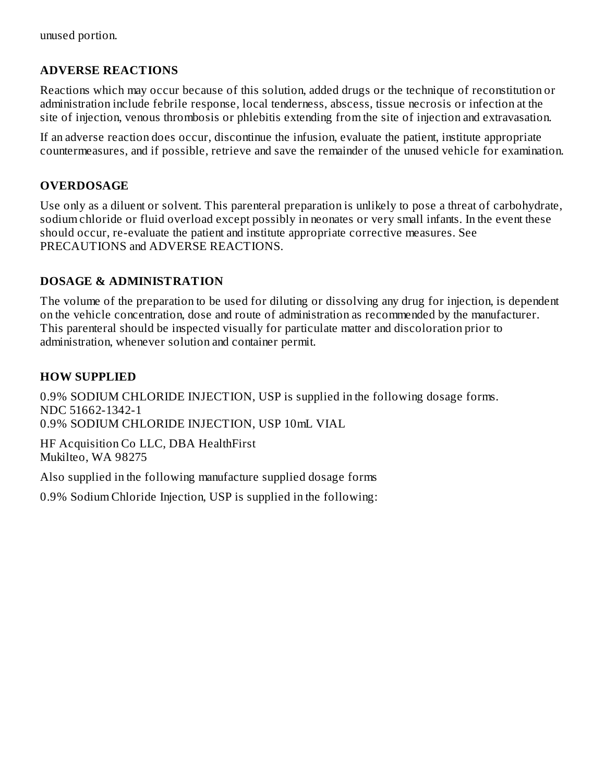unused portion.

## **ADVERSE REACTIONS**

Reactions which may occur because of this solution, added drugs or the technique of reconstitution or administration include febrile response, local tenderness, abscess, tissue necrosis or infection at the site of injection, venous thrombosis or phlebitis extending from the site of injection and extravasation.

If an adverse reaction does occur, discontinue the infusion, evaluate the patient, institute appropriate countermeasures, and if possible, retrieve and save the remainder of the unused vehicle for examination.

#### **OVERDOSAGE**

Use only as a diluent or solvent. This parenteral preparation is unlikely to pose a threat of carbohydrate, sodium chloride or fluid overload except possibly in neonates or very small infants. In the event these should occur, re-evaluate the patient and institute appropriate corrective measures. See PRECAUTIONS and ADVERSE REACTIONS.

#### **DOSAGE & ADMINISTRATION**

The volume of the preparation to be used for diluting or dissolving any drug for injection, is dependent on the vehicle concentration, dose and route of administration as recommended by the manufacturer. This parenteral should be inspected visually for particulate matter and discoloration prior to administration, whenever solution and container permit.

#### **HOW SUPPLIED**

0.9% SODIUM CHLORIDE INJECTION, USP is supplied in the following dosage forms. NDC 51662-1342-1 0.9% SODIUM CHLORIDE INJECTION, USP 10mL VIAL

HF Acquisition Co LLC, DBA HealthFirst Mukilteo, WA 98275

Also supplied in the following manufacture supplied dosage forms

0.9% Sodium Chloride Injection, USP is supplied in the following: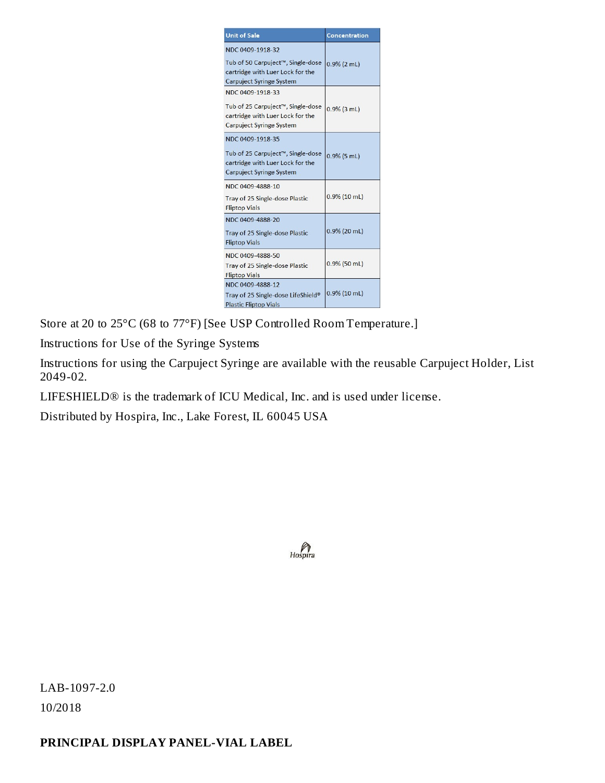| <b>Unit of Sale</b>                                                                                                          | Concentration   |
|------------------------------------------------------------------------------------------------------------------------------|-----------------|
| NDC 0409-1918-32<br>Tub of 50 Carpuject™, Single-dose<br>cartridge with Luer Lock for the<br><b>Carpuject Syringe System</b> | $0.9\%$ (2 mL)  |
| NDC 0409-1918-33<br>Tub of 25 Carpuject™, Single-dose<br>cartridge with Luer Lock for the<br><b>Carpuject Syringe System</b> | $0.9\%$ (3 mL)  |
| NDC 0409-1918-35<br>Tub of 25 Carpuject™, Single-dose<br>cartridge with Luer Lock for the<br><b>Carpuject Syringe System</b> | $0.9\%$ (5 mL)  |
| NDC 0409-4888-10<br><b>Tray of 25 Single-dose Plastic</b><br><b>Fliptop Vials</b>                                            | $0.9\%$ (10 mL) |
| NDC 0409-4888-20<br>Tray of 25 Single-dose Plastic<br><b>Fliptop Vials</b>                                                   | $0.9\%$ (20 mL) |
| NDC 0409-4888-50<br>Tray of 25 Single-dose Plastic<br><b>Fliptop Vials</b>                                                   | $0.9\%$ (50 mL) |
| NDC 0409-4888-12<br>Tray of 25 Single-dose LifeShield®<br><b>Plastic Fliptop Vials</b>                                       | 0.9% (10 mL)    |

Store at 20 to 25°C (68 to 77°F) [See USP Controlled Room Temperature.]

Instructions for Use of the Syringe Systems

Instructions for using the Carpuject Syringe are available with the reusable Carpuject Holder, List 2049-02.

LIFESHIELD® is the trademark of ICU Medical, Inc. and is used under license.

Distributed by Hospira, Inc., Lake Forest, IL 60045 USA



LAB-1097-2.0 10/2018

## **PRINCIPAL DISPLAY PANEL-VIAL LABEL**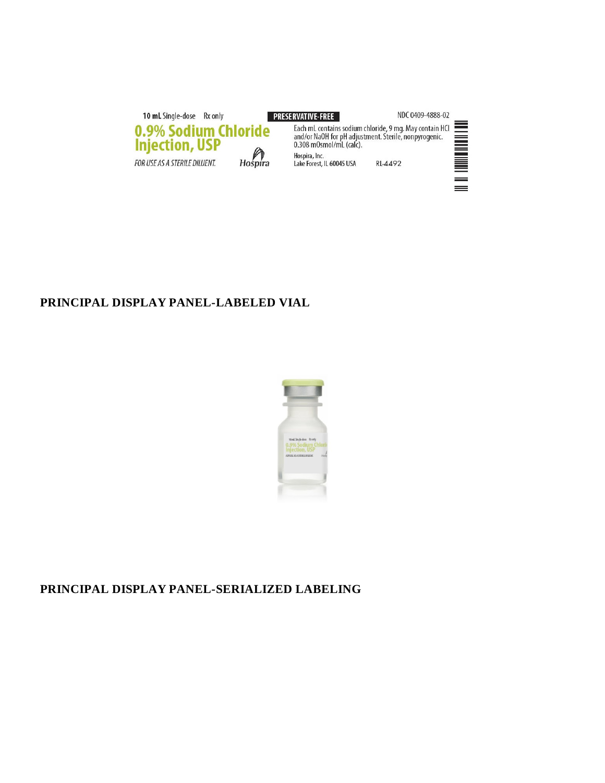10 mL Single-dose Rx only **PRESERVATIVE-FREE** NDC 0409-4888-02 Each mL contains sodium chloride, 9 mg. May contain HCl<br>and/or NaOH for pH adjustment. Sterile, nonpyrogenic.<br>0.308 mOsmol/mL (calc). 0.9% Sodium Chloride<br>Injection, USP <u>Manual Separa</u>  $H$ <sub>0</sub> $\Omega$ <sub>ra</sub> Hospira, Inc.<br>Lake Forest, IL 60045 USA FOR USE AS A STERILE DILUENT. RL-4492

 $=$ 

## **PRINCIPAL DISPLAY PANEL-LABELED VIAL**



## **PRINCIPAL DISPLAY PANEL-SERIALIZED LABELING**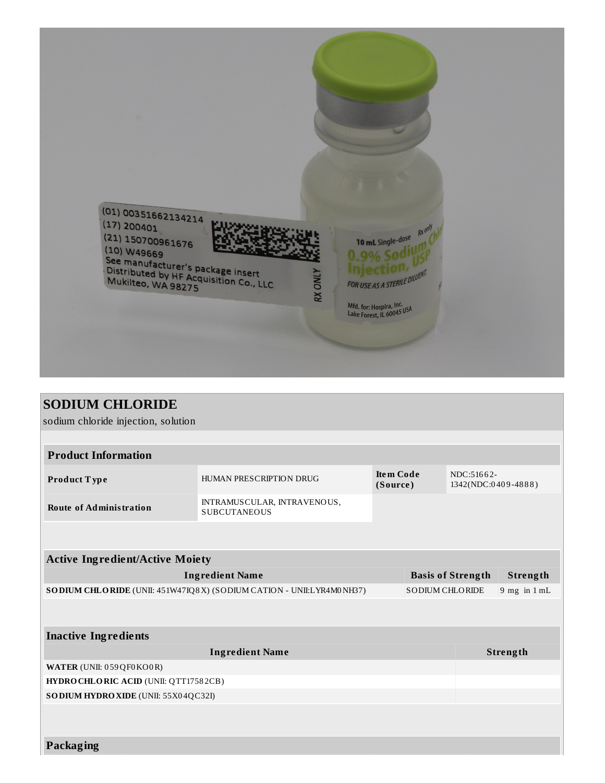

| <b>SODIUM CHLORIDE</b>                                                                            |                                                    |                              |                          |                                   |  |
|---------------------------------------------------------------------------------------------------|----------------------------------------------------|------------------------------|--------------------------|-----------------------------------|--|
| sodium chloride injection, solution                                                               |                                                    |                              |                          |                                   |  |
|                                                                                                   |                                                    |                              |                          |                                   |  |
| <b>Product Information</b>                                                                        |                                                    |                              |                          |                                   |  |
| Product Type                                                                                      | HUMAN PRESCRIPTION DRUG                            | <b>Item Code</b><br>(Source) |                          | NDC:51662-<br>1342(NDC:0409-4888) |  |
| <b>Route of Administration</b>                                                                    | INTRAMUSCULAR, INTRAVENOUS,<br><b>SUBCUTANEOUS</b> |                              |                          |                                   |  |
|                                                                                                   |                                                    |                              |                          |                                   |  |
| <b>Active Ingredient/Active Moiety</b>                                                            |                                                    |                              |                          |                                   |  |
| <b>Ingredient Name</b>                                                                            |                                                    |                              | <b>Basis of Strength</b> | Strength                          |  |
| <b>SODIUM CHLORIDE</b><br>SO DIUM CHLORIDE (UNII: 451W47IQ8X) (SO DIUM CATION - UNII:LYR4M0 NH37) |                                                    |                              |                          | $9$ mg in $1$ mL                  |  |
|                                                                                                   |                                                    |                              |                          |                                   |  |
| <b>Inactive Ingredients</b>                                                                       |                                                    |                              |                          |                                   |  |
| <b>Ingredient Name</b>                                                                            |                                                    |                              |                          | Strength                          |  |
| WATER (UNII: 059QF0KO0R)                                                                          |                                                    |                              |                          |                                   |  |
| HYDRO CHLORIC ACID (UNII: QTT17582CB)                                                             |                                                    |                              |                          |                                   |  |
| SO DIUM HYDRO XIDE (UNII: 55X04QC32I)                                                             |                                                    |                              |                          |                                   |  |
|                                                                                                   |                                                    |                              |                          |                                   |  |
|                                                                                                   |                                                    |                              |                          |                                   |  |
| <b>Packaging</b>                                                                                  |                                                    |                              |                          |                                   |  |